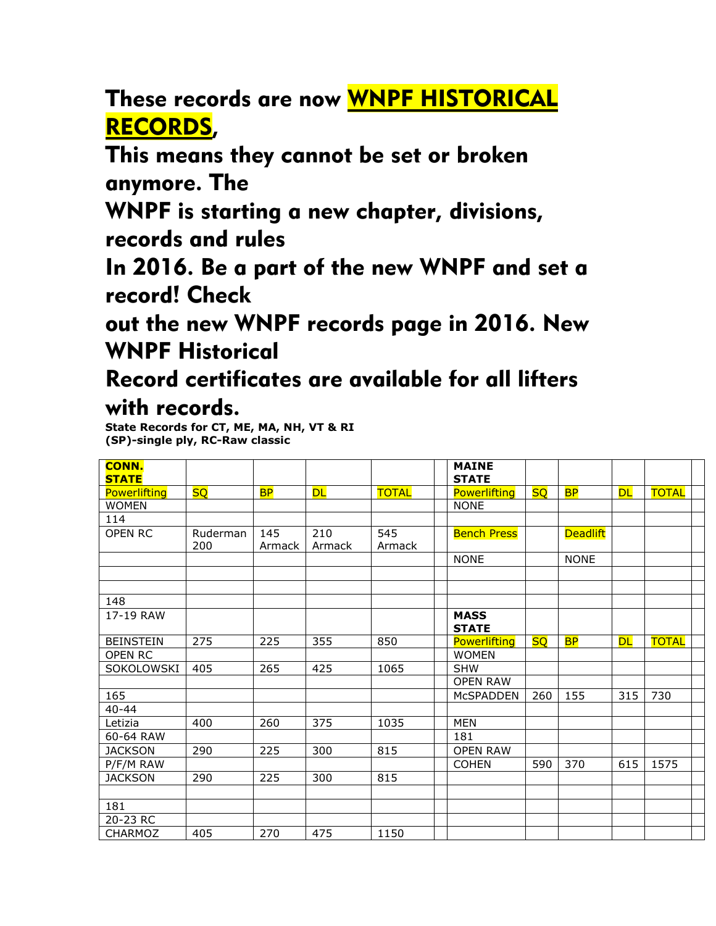These records are now WNPF HISTORICAL RECORDS,

This means they cannot be set or broken anymore. The

WNPF is starting a new chapter, divisions, records and rules

In 2016. Be a part of the new WNPF and set a record! Check

out the new WNPF records page in 2016. New WNPF Historical

## Record certificates are available for all lifters with records.

**State Records for CT, ME, MA, NH, VT & RI (SP)-single ply, RC-Raw classic**

| <b>CONN.</b><br><b>STATE</b> |           |           |           |              | <b>MAINE</b><br><b>STATE</b> |           |                 |           |              |
|------------------------------|-----------|-----------|-----------|--------------|------------------------------|-----------|-----------------|-----------|--------------|
| <b>Powerlifting</b>          | <b>SQ</b> | <b>BP</b> | <b>DL</b> | <b>TOTAL</b> | Powerlifting                 | <b>SQ</b> | <b>BP</b>       | <b>DL</b> | <b>TOTAL</b> |
| <b>WOMEN</b>                 |           |           |           |              | <b>NONE</b>                  |           |                 |           |              |
| 114                          |           |           |           |              |                              |           |                 |           |              |
| <b>OPEN RC</b>               | Ruderman  | 145       | 210       | 545          | <b>Bench Press</b>           |           | <b>Deadlift</b> |           |              |
|                              | 200       | Armack    | Armack    | Armack       |                              |           |                 |           |              |
|                              |           |           |           |              | <b>NONE</b>                  |           | <b>NONE</b>     |           |              |
|                              |           |           |           |              |                              |           |                 |           |              |
|                              |           |           |           |              |                              |           |                 |           |              |
| 148                          |           |           |           |              |                              |           |                 |           |              |
| 17-19 RAW                    |           |           |           |              | <b>MASS</b>                  |           |                 |           |              |
|                              |           |           |           |              | <b>STATE</b>                 |           |                 |           |              |
| <b>BEINSTEIN</b>             | 275       | 225       | 355       | 850          | <b>Powerlifting</b>          | <b>SQ</b> | <b>BP</b>       | <b>DL</b> | <b>TOTAL</b> |
| <b>OPEN RC</b>               |           |           |           |              | <b>WOMEN</b>                 |           |                 |           |              |
| SOKOLOWSKI                   | 405       | 265       | 425       | 1065         | <b>SHW</b>                   |           |                 |           |              |
|                              |           |           |           |              | <b>OPEN RAW</b>              |           |                 |           |              |
| 165                          |           |           |           |              | <b>MCSPADDEN</b>             | 260       | 155             | 315       | 730          |
| $40 - 44$                    |           |           |           |              |                              |           |                 |           |              |
| Letizia                      | 400       | 260       | 375       | 1035         | <b>MEN</b>                   |           |                 |           |              |
| 60-64 RAW                    |           |           |           |              | 181                          |           |                 |           |              |
| <b>JACKSON</b>               | 290       | 225       | 300       | 815          | <b>OPEN RAW</b>              |           |                 |           |              |
| P/F/M RAW                    |           |           |           |              | <b>COHEN</b>                 | 590       | 370             | 615       | 1575         |
| <b>JACKSON</b>               | 290       | 225       | 300       | 815          |                              |           |                 |           |              |
|                              |           |           |           |              |                              |           |                 |           |              |
| 181                          |           |           |           |              |                              |           |                 |           |              |
| 20-23 RC                     |           |           |           |              |                              |           |                 |           |              |
| <b>CHARMOZ</b>               | 405       | 270       | 475       | 1150         |                              |           |                 |           |              |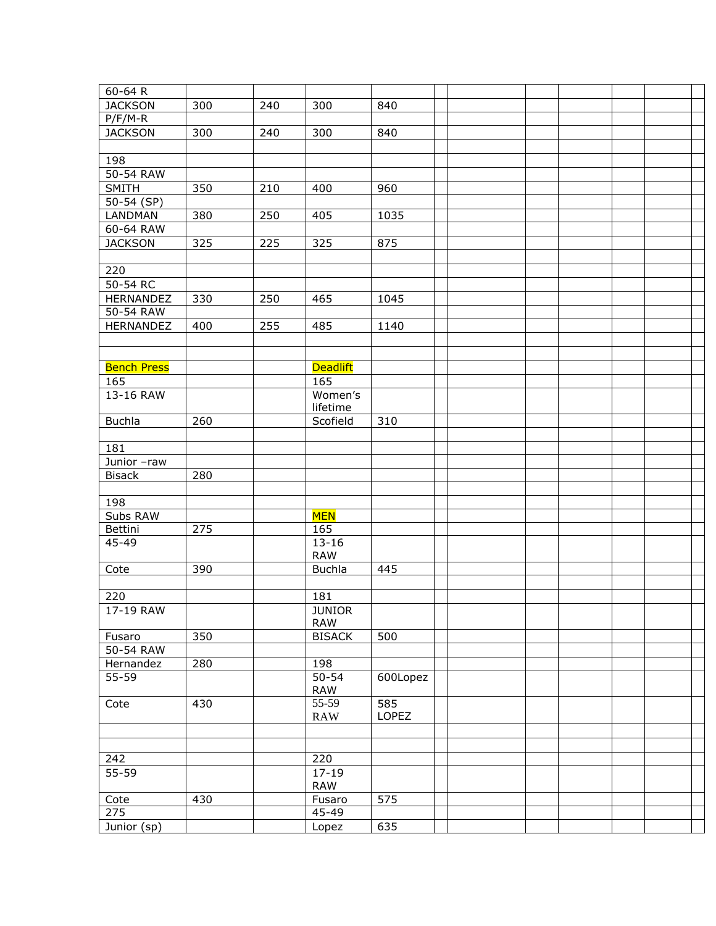| 60-64 R            |     |     |                 |          |  |  |  |
|--------------------|-----|-----|-----------------|----------|--|--|--|
| <b>JACKSON</b>     | 300 | 240 | 300             | 840      |  |  |  |
| $P/F/M-R$          |     |     |                 |          |  |  |  |
| <b>JACKSON</b>     | 300 | 240 | 300             | 840      |  |  |  |
|                    |     |     |                 |          |  |  |  |
| 198                |     |     |                 |          |  |  |  |
| 50-54 RAW          |     |     |                 |          |  |  |  |
| SMITH              | 350 | 210 | 400             | 960      |  |  |  |
| $50 - 54$ (SP)     |     |     |                 |          |  |  |  |
| <b>LANDMAN</b>     | 380 | 250 | 405             | 1035     |  |  |  |
| 60-64 RAW          |     |     |                 |          |  |  |  |
| <b>JACKSON</b>     | 325 | 225 | 325             | 875      |  |  |  |
|                    |     |     |                 |          |  |  |  |
| 220                |     |     |                 |          |  |  |  |
| $50-54$ RC         |     |     |                 |          |  |  |  |
| HERNANDEZ          | 330 | 250 | 465             | 1045     |  |  |  |
| 50-54 RAW          |     |     |                 |          |  |  |  |
| HERNANDEZ          | 400 | 255 | 485             | 1140     |  |  |  |
|                    |     |     |                 |          |  |  |  |
|                    |     |     |                 |          |  |  |  |
| <b>Bench Press</b> |     |     | <b>Deadlift</b> |          |  |  |  |
| 165                |     |     | 165             |          |  |  |  |
| 13-16 RAW          |     |     | Women's         |          |  |  |  |
|                    |     |     | lifetime        |          |  |  |  |
| <b>Buchla</b>      | 260 |     | Scofield        | 310      |  |  |  |
|                    |     |     |                 |          |  |  |  |
| 181                |     |     |                 |          |  |  |  |
| Junior -raw        |     |     |                 |          |  |  |  |
| <b>Bisack</b>      | 280 |     |                 |          |  |  |  |
|                    |     |     |                 |          |  |  |  |
| 198                |     |     |                 |          |  |  |  |
| Subs RAW           |     |     | <b>MEN</b>      |          |  |  |  |
| Bettini            | 275 |     | 165             |          |  |  |  |
| 45-49              |     |     | $13 - 16$       |          |  |  |  |
|                    |     |     | <b>RAW</b>      | 445      |  |  |  |
| Cote               | 390 |     | <b>Buchla</b>   |          |  |  |  |
|                    |     |     | 181             |          |  |  |  |
| 220<br>17-19 RAW   |     |     | <b>JUNIOR</b>   |          |  |  |  |
|                    |     |     | RAW             |          |  |  |  |
| Fusaro             | 350 |     | <b>BISACK</b>   | 500      |  |  |  |
| 50-54 RAW          |     |     |                 |          |  |  |  |
| Hernandez          | 280 |     | 198             |          |  |  |  |
| 55-59              |     |     | $50 - 54$       | 600Lopez |  |  |  |
|                    |     |     | <b>RAW</b>      |          |  |  |  |
| Cote               | 430 |     | 55-59           | 585      |  |  |  |
|                    |     |     | <b>RAW</b>      | LOPEZ    |  |  |  |
|                    |     |     |                 |          |  |  |  |
|                    |     |     |                 |          |  |  |  |
| 242                |     |     | 220             |          |  |  |  |
| $55 - 59$          |     |     | $17 - 19$       |          |  |  |  |
|                    |     |     | <b>RAW</b>      |          |  |  |  |
| Cote               | 430 |     | Fusaro          | 575      |  |  |  |
| 275                |     |     | 45-49           |          |  |  |  |
| Junior (sp)        |     |     | Lopez           | 635      |  |  |  |
|                    |     |     |                 |          |  |  |  |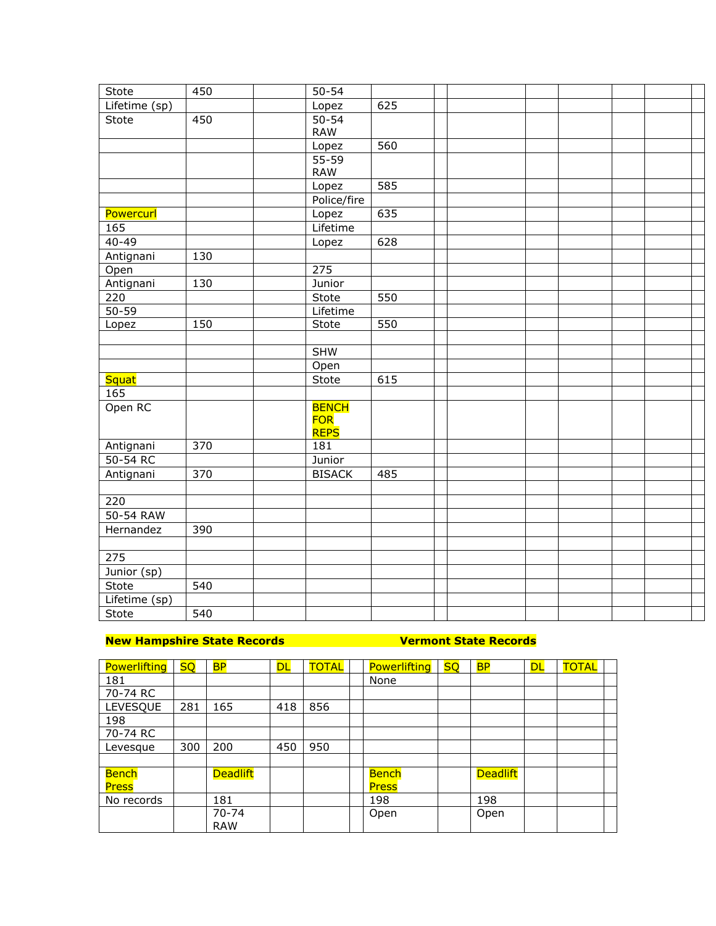| Stote         | 450              | $50 - 54$         |     |  |  |  |  |
|---------------|------------------|-------------------|-----|--|--|--|--|
| Lifetime (sp) |                  | Lopez             | 625 |  |  |  |  |
| Stote         | 450              | $50 - 54$         |     |  |  |  |  |
|               |                  | <b>RAW</b>        |     |  |  |  |  |
|               |                  | Lopez             | 560 |  |  |  |  |
|               |                  | $\frac{1}{55-59}$ |     |  |  |  |  |
|               |                  | <b>RAW</b>        |     |  |  |  |  |
|               |                  | Lopez             | 585 |  |  |  |  |
|               |                  | Police/fire       |     |  |  |  |  |
| Powercurl     |                  | Lopez             | 635 |  |  |  |  |
| 165           |                  | Lifetime          |     |  |  |  |  |
| $40 - 49$     |                  | Lopez             | 628 |  |  |  |  |
| Antignani     | 130              |                   |     |  |  |  |  |
| Open          |                  | 275               |     |  |  |  |  |
| Antignani     | 130              | Junior            |     |  |  |  |  |
| 220           |                  | Stote             | 550 |  |  |  |  |
| $50 - 59$     |                  | Lifetime          |     |  |  |  |  |
| Lopez         | 150              | Stote             | 550 |  |  |  |  |
|               |                  |                   |     |  |  |  |  |
|               |                  | <b>SHW</b>        |     |  |  |  |  |
|               |                  | Open              |     |  |  |  |  |
| <b>Squat</b>  |                  | Stote             | 615 |  |  |  |  |
| 165           |                  |                   |     |  |  |  |  |
| Open RC       |                  | <b>BENCH</b>      |     |  |  |  |  |
|               |                  | <b>FOR</b>        |     |  |  |  |  |
|               |                  | <b>REPS</b>       |     |  |  |  |  |
| Antignani     | $\overline{370}$ | 181               |     |  |  |  |  |
| 50-54 RC      |                  | Junior            |     |  |  |  |  |
| Antignani     | 370              | <b>BISACK</b>     | 485 |  |  |  |  |
|               |                  |                   |     |  |  |  |  |
| 220           |                  |                   |     |  |  |  |  |
| 50-54 RAW     |                  |                   |     |  |  |  |  |
| Hernandez     | 390              |                   |     |  |  |  |  |
|               |                  |                   |     |  |  |  |  |
| 275           |                  |                   |     |  |  |  |  |
| Junior (sp)   |                  |                   |     |  |  |  |  |
| Stote         | 540              |                   |     |  |  |  |  |
| Lifetime (sp) |                  |                   |     |  |  |  |  |
| Stote         | 540              |                   |     |  |  |  |  |
|               |                  |                   |     |  |  |  |  |

## **New Hampshire State Records Vermont State Records**

| Powerlifting | <b>SO</b> | <b>BP</b>       | <b>DL</b> | <b>TOTAL</b> | <b>Powerlifting</b> | <b>SO</b> | <b>BP</b>       | <b>DL</b> | <b>TOTAL</b> |  |
|--------------|-----------|-----------------|-----------|--------------|---------------------|-----------|-----------------|-----------|--------------|--|
| 181          |           |                 |           |              | None                |           |                 |           |              |  |
| 70-74 RC     |           |                 |           |              |                     |           |                 |           |              |  |
| LEVESQUE     | 281       | 165             | 418       | 856          |                     |           |                 |           |              |  |
| 198          |           |                 |           |              |                     |           |                 |           |              |  |
| 70-74 RC     |           |                 |           |              |                     |           |                 |           |              |  |
| Levesque     | 300       | 200             | 450       | 950          |                     |           |                 |           |              |  |
|              |           |                 |           |              |                     |           |                 |           |              |  |
| <b>Bench</b> |           | <b>Deadlift</b> |           |              | <b>Bench</b>        |           | <b>Deadlift</b> |           |              |  |
| <b>Press</b> |           |                 |           |              | <b>Press</b>        |           |                 |           |              |  |
| No records   |           | 181             |           |              | 198                 |           | 198             |           |              |  |
|              |           | $70 - 74$       |           |              | Open                |           | Open            |           |              |  |
|              |           | <b>RAW</b>      |           |              |                     |           |                 |           |              |  |